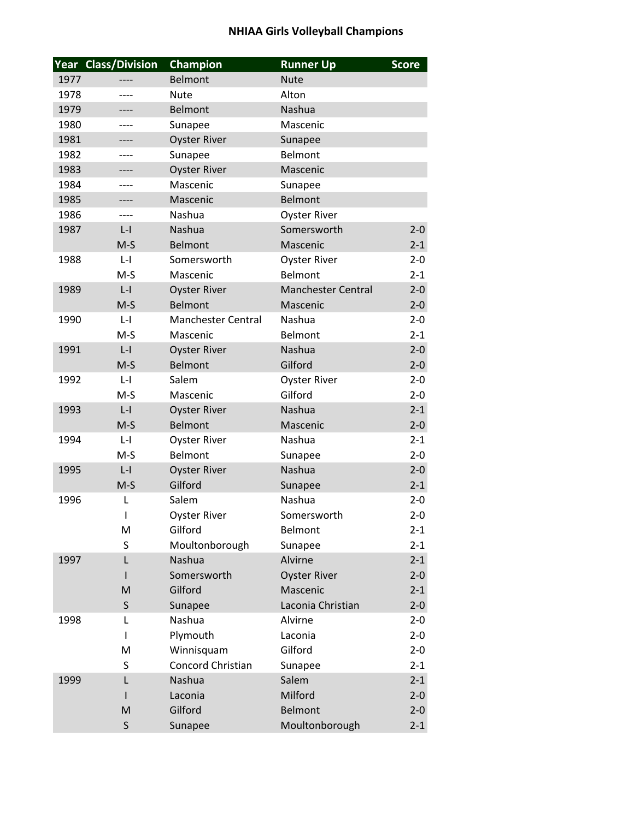## **NHIAA Girls Volleyball Champions**

|      | <b>Year Class/Division</b> | Champion                  | <b>Runner Up</b>          | <b>Score</b> |
|------|----------------------------|---------------------------|---------------------------|--------------|
| 1977 |                            | <b>Belmont</b>            | <b>Nute</b>               |              |
| 1978 | ----                       | <b>Nute</b>               | Alton                     |              |
| 1979 |                            | Belmont                   | Nashua                    |              |
| 1980 |                            | Sunapee                   | Mascenic                  |              |
| 1981 |                            | <b>Oyster River</b>       | Sunapee                   |              |
| 1982 |                            | Sunapee                   | <b>Belmont</b>            |              |
| 1983 | ----                       | <b>Oyster River</b>       | Mascenic                  |              |
| 1984 |                            | Mascenic                  | Sunapee                   |              |
| 1985 | ----                       | Mascenic                  | <b>Belmont</b>            |              |
| 1986 | ----                       | Nashua                    | <b>Oyster River</b>       |              |
| 1987 | $L - I$                    | Nashua                    | Somersworth               | $2 - 0$      |
|      | $M-S$                      | <b>Belmont</b>            | Mascenic                  | $2 - 1$      |
| 1988 | $L - I$                    | Somersworth               | <b>Oyster River</b>       | $2 - 0$      |
|      | $M-S$                      | Mascenic                  | Belmont                   | $2 - 1$      |
| 1989 | $L - I$                    | <b>Oyster River</b>       | <b>Manchester Central</b> | $2 - 0$      |
|      | $M-S$                      | <b>Belmont</b>            | Mascenic                  | $2 - 0$      |
| 1990 | $L - I$                    | <b>Manchester Central</b> | Nashua                    | $2 - 0$      |
|      | $M-S$                      | Mascenic                  | Belmont                   | $2 - 1$      |
| 1991 | $L - I$                    | <b>Oyster River</b>       | Nashua                    | $2 - 0$      |
|      | $M-S$                      | <b>Belmont</b>            | Gilford                   | $2 - 0$      |
| 1992 | $L - I$                    | Salem                     | <b>Oyster River</b>       | $2 - 0$      |
|      | $M-S$                      | Mascenic                  | Gilford                   | $2 - 0$      |
| 1993 | $L - I$                    | <b>Oyster River</b>       | Nashua                    | $2 - 1$      |
|      | $M-S$                      | <b>Belmont</b>            | Mascenic                  | $2 - 0$      |
| 1994 | $L - I$                    | <b>Oyster River</b>       | Nashua                    | $2 - 1$      |
|      | $M-S$                      | Belmont                   | Sunapee                   | $2 - 0$      |
| 1995 | $L - I$                    | <b>Oyster River</b>       | Nashua                    | $2 - 0$      |
|      | $M-S$                      | Gilford                   | Sunapee                   | $2 - 1$      |
| 1996 | L                          | Salem                     | Nashua                    | $2 - 0$      |
|      | ı                          | <b>Oyster River</b>       | Somersworth               | $2 - 0$      |
|      | M                          | Gilford                   | Belmont                   | $2 - 1$      |
|      | S                          | Moultonborough            | Sunapee                   | $2 - 1$      |
| 1997 | L                          | Nashua                    | Alvirne                   | $2 - 1$      |
|      | I                          | Somersworth               | <b>Oyster River</b>       | $2 - 0$      |
|      | M                          | Gilford                   | Mascenic                  | $2 - 1$      |
|      | S                          | Sunapee                   | Laconia Christian         | $2 - 0$      |
| 1998 | L                          | Nashua                    | Alvirne                   | $2 - 0$      |
|      | I                          | Plymouth                  | Laconia                   | $2 - 0$      |
|      | M                          | Winnisquam                | Gilford                   | $2 - 0$      |
|      | S                          | Concord Christian         | Sunapee                   | $2 - 1$      |
| 1999 | L                          | Nashua                    | Salem                     | $2 - 1$      |
|      | I                          | Laconia                   | Milford                   | $2 - 0$      |
|      | M                          | Gilford                   | Belmont                   | $2 - 0$      |
|      | $\sf S$                    | Sunapee                   | Moultonborough            | $2 - 1$      |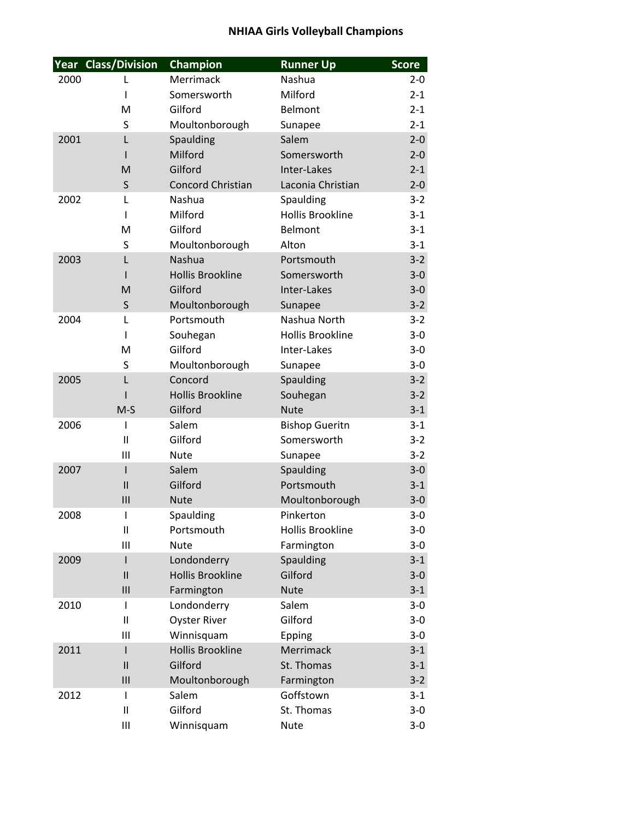## **NHIAA Girls Volleyball Champions**

|      | Year Class/Division         | Champion                     | <b>Runner Up</b>        | <b>Score</b>     |
|------|-----------------------------|------------------------------|-------------------------|------------------|
| 2000 | L                           | Merrimack                    | Nashua                  | $2 - 0$          |
|      | ı                           | Somersworth                  | Milford                 | $2 - 1$          |
|      | M                           | Gilford                      | Belmont                 | $2 - 1$          |
|      | S                           | Moultonborough               | Sunapee                 | $2 - 1$          |
| 2001 | L                           | Spaulding                    | Salem                   | $2 - 0$          |
|      |                             | Milford                      | Somersworth             | $2 - 0$          |
|      | M                           | Gilford                      | Inter-Lakes             | $2 - 1$          |
|      | $\sf S$                     | <b>Concord Christian</b>     | Laconia Christian       | $2 - 0$          |
| 2002 | L                           | Nashua                       | Spaulding               | $3-2$            |
|      | I                           | Milford                      | <b>Hollis Brookline</b> | $3 - 1$          |
|      | M                           | Gilford                      | Belmont                 | $3-1$            |
|      | S                           | Moultonborough               | Alton                   | $3 - 1$          |
| 2003 | L                           | <b>Nashua</b>                | Portsmouth              | $3 - 2$          |
|      |                             | <b>Hollis Brookline</b>      | Somersworth             | $3 - 0$          |
|      | M                           | Gilford                      | Inter-Lakes             | $3-0$            |
|      | S                           | Moultonborough<br>Portsmouth | Sunapee<br>Nashua North | $3 - 2$<br>$3-2$ |
| 2004 | L<br>ı                      | Souhegan                     | <b>Hollis Brookline</b> | $3-0$            |
|      | M                           | Gilford                      | Inter-Lakes             | $3 - 0$          |
|      | S                           | Moultonborough               | Sunapee                 | $3 - 0$          |
| 2005 | L                           | Concord                      | Spaulding               | $3 - 2$          |
|      |                             | <b>Hollis Brookline</b>      | Souhegan                | $3 - 2$          |
|      | $M-S$                       | Gilford                      | <b>Nute</b>             | $3 - 1$          |
| 2006 | I                           | Salem                        | <b>Bishop Gueritn</b>   | $3-1$            |
|      | $\mathbf{I}$                | Gilford                      | Somersworth             | $3-2$            |
|      | Ш                           | <b>Nute</b>                  | Sunapee                 | $3 - 2$          |
| 2007 | $\overline{\phantom{a}}$    | Salem                        | Spaulding               | $3 - 0$          |
|      | $\mathsf{II}$               | Gilford                      | Portsmouth              | $3 - 1$          |
|      | $\mathbf{III}$              | <b>Nute</b>                  | Moultonborough          | $3-0$            |
| 2008 | ı                           | Spaulding                    | Pinkerton               | $3-0$            |
|      | $\mathsf{I}\mathsf{I}$      | Portsmouth                   | <b>Hollis Brookline</b> | $3-0$            |
|      | Ш                           | <b>Nute</b>                  | Farmington              | $3-0$            |
| 2009 | I                           | Londonderry                  | Spaulding               | $3 - 1$          |
|      | $\mathbf{I}$                | <b>Hollis Brookline</b>      | Gilford                 | $3-0$            |
|      | $\mathsf{III}$              | Farmington                   | <b>Nute</b>             | $3 - 1$          |
| 2010 | I                           | Londonderry                  | Salem                   | $3 - 0$          |
|      | $\mathbf{I}$                | <b>Oyster River</b>          | Gilford                 | $3-0$            |
|      | Ш                           | Winnisquam                   | Epping                  | $3-0$            |
| 2011 | $\overline{1}$              | <b>Hollis Brookline</b>      | Merrimack               | $3 - 1$          |
|      | $\mathbf{I}$                | Gilford                      | St. Thomas              | $3 - 1$          |
|      | III                         | Moultonborough               | Farmington              | $3-2$            |
| 2012 | I<br>$\mathsf{I}\mathsf{I}$ | Salem<br>Gilford             | Goffstown<br>St. Thomas | $3 - 1$<br>$3-0$ |
|      | Ш                           | Winnisquam                   | <b>Nute</b>             | $3 - 0$          |
|      |                             |                              |                         |                  |